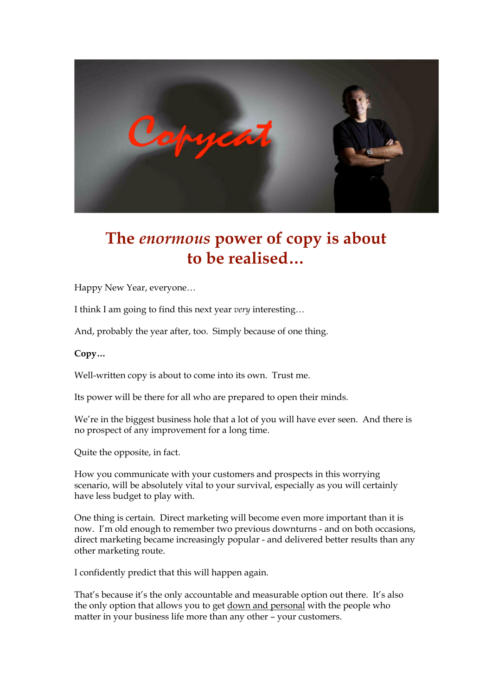

## **The** *enormous* **power of copy is about to be realised…**

Happy New Year, everyone…

I think I am going to find this next year *very* interesting…

And, probably the year after, too. Simply because of one thing.

**Copy…**

Well-written copy is about to come into its own. Trust me.

Its power will be there for all who are prepared to open their minds.

We're in the biggest business hole that a lot of you will have ever seen. And there is no prospect of any improvement for a long time.

Quite the opposite, in fact.

How you communicate with your customers and prospects in this worrying scenario, will be absolutely vital to your survival, especially as you will certainly have less budget to play with.

One thing is certain. Direct marketing will become even more important than it is now. I'm old enough to remember two previous downturns - and on both occasions, direct marketing became increasingly popular - and delivered better results than any other marketing route.

I confidently predict that this will happen again.

That's because it's the only accountable and measurable option out there. It's also the only option that allows you to get down and personal with the people who matter in your business life more than any other – your customers.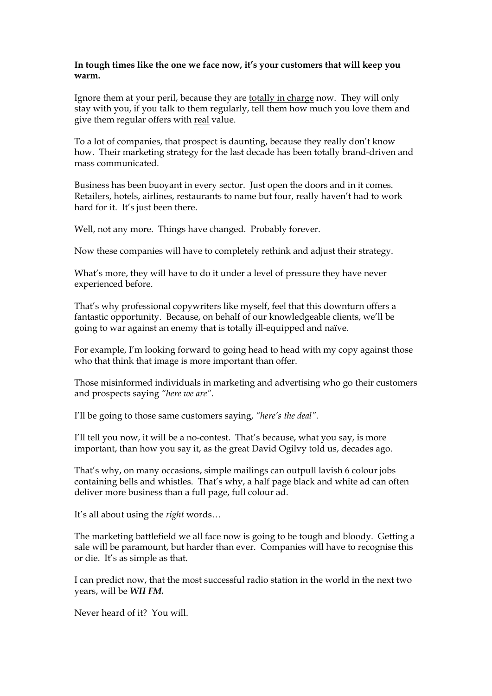## **In tough times like the one we face now, it's your customers that will keep you warm.**

Ignore them at your peril, because they are totally in charge now. They will only stay with you, if you talk to them regularly, tell them how much you love them and give them regular offers with real value.

To a lot of companies, that prospect is daunting, because they really don't know how. Their marketing strategy for the last decade has been totally brand-driven and mass communicated.

Business has been buoyant in every sector. Just open the doors and in it comes. Retailers, hotels, airlines, restaurants to name but four, really haven't had to work hard for it. It's just been there.

Well, not any more. Things have changed. Probably forever.

Now these companies will have to completely rethink and adjust their strategy.

What's more, they will have to do it under a level of pressure they have never experienced before.

That's why professional copywriters like myself, feel that this downturn offers a fantastic opportunity. Because, on behalf of our knowledgeable clients, we'll be going to war against an enemy that is totally ill-equipped and naïve.

For example, I'm looking forward to going head to head with my copy against those who that think that image is more important than offer.

Those misinformed individuals in marketing and advertising who go their customers and prospects saying *"here we are".*

I'll be going to those same customers saying, *"here's the deal".*

I'll tell you now, it will be a no-contest. That's because, what you say, is more important, than how you say it, as the great David Ogilvy told us, decades ago.

That's why, on many occasions, simple mailings can outpull lavish 6 colour jobs containing bells and whistles. That's why, a half page black and white ad can often deliver more business than a full page, full colour ad.

It's all about using the *right* words…

The marketing battlefield we all face now is going to be tough and bloody. Getting a sale will be paramount, but harder than ever. Companies will have to recognise this or die. It's as simple as that.

I can predict now, that the most successful radio station in the world in the next two years, will be *WII FM.*

Never heard of it? You will.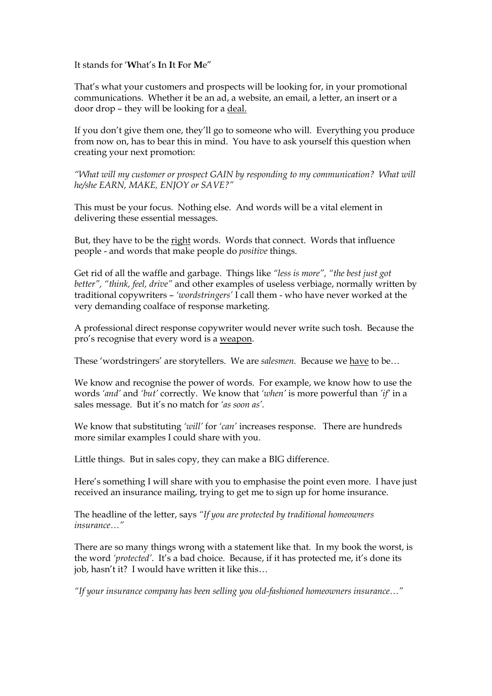It stands for '**W**hat's **I**n **I**t **F**or **M**e"

That's what your customers and prospects will be looking for, in your promotional communications. Whether it be an ad, a website, an email, a letter, an insert or a door drop – they will be looking for a deal.

If you don't give them one, they'll go to someone who will. Everything you produce from now on, has to bear this in mind. You have to ask yourself this question when creating your next promotion:

*"What will my customer or prospect GAIN by responding to my communication? What will he/she EARN, MAKE, ENJOY or SAVE?"*

This must be your focus. Nothing else. And words will be a vital element in delivering these essential messages.

But, they have to be the right words. Words that connect. Words that influence people - and words that make people do *positive* things.

Get rid of all the waffle and garbage. Things like *"less is more", "the best just got better", "think, feel, drive"* and other examples of useless verbiage, normally written by traditional copywriters – *'wordstringers'* I call them - who have never worked at the very demanding coalface of response marketing.

A professional direct response copywriter would never write such tosh. Because the pro's recognise that every word is a weapon.

These 'wordstringers' are storytellers. We are *salesmen.* Because we have to be…

We know and recognise the power of words. For example, we know how to use the words *'and'* and *'but'* correctly. We know that *'when'* is more powerful than *'if'* in a sales message. But it's no match for *'as soon as'.*

We know that substituting *'will'* for *'can'* increases response. There are hundreds more similar examples I could share with you.

Little things. But in sales copy, they can make a BIG difference.

Here's something I will share with you to emphasise the point even more. I have just received an insurance mailing, trying to get me to sign up for home insurance.

The headline of the letter, says *"If you are protected by traditional homeowners insurance…"*

There are so many things wrong with a statement like that. In my book the worst, is the word *'protected'*. It's a bad choice. Because, if it has protected me, it's done its job, hasn't it? I would have written it like this…

*"If your insurance company has been selling you old-fashioned homeowners insurance…"*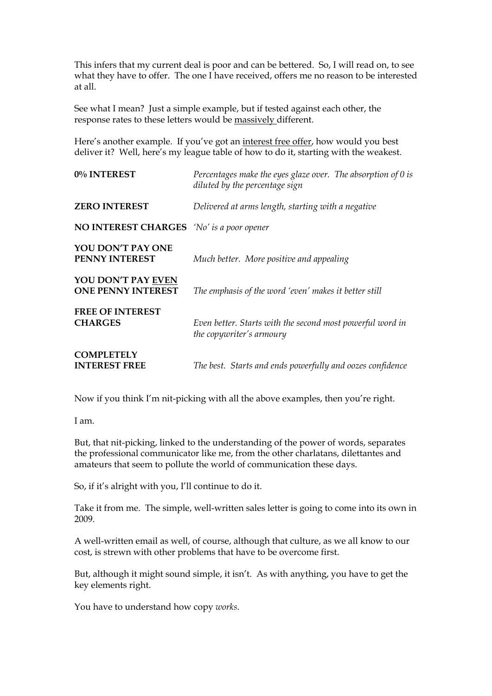This infers that my current deal is poor and can be bettered. So, I will read on, to see what they have to offer. The one I have received, offers me no reason to be interested at all.

See what I mean? Just a simple example, but if tested against each other, the response rates to these letters would be massively different.

Here's another example. If you've got an interest free offer, how would you best deliver it? Well, here's my league table of how to do it, starting with the weakest.

| 0% INTEREST                                      | Percentages make the eyes glaze over. The absorption of 0 is<br>diluted by the percentage sign |
|--------------------------------------------------|------------------------------------------------------------------------------------------------|
| <b>ZERO INTEREST</b>                             | Delivered at arms length, starting with a negative                                             |
| <b>NO INTEREST CHARGES</b> 'No' is a poor opener |                                                                                                |
| YOU DON'T PAY ONE<br><b>PENNY INTEREST</b>       | Much better. More positive and appealing                                                       |
| YOU DON'T PAY EVEN<br><b>ONE PENNY INTEREST</b>  | The emphasis of the word 'even' makes it better still                                          |
| <b>FREE OF INTEREST</b><br><b>CHARGES</b>        | Even better. Starts with the second most powerful word in<br>the copywriter's armoury          |
| <b>COMPLETELY</b><br><b>INTEREST FREE</b>        | The best. Starts and ends powerfully and oozes confidence                                      |

Now if you think I'm nit-picking with all the above examples, then you're right.

I am.

But, that nit-picking, linked to the understanding of the power of words, separates the professional communicator like me, from the other charlatans, dilettantes and amateurs that seem to pollute the world of communication these days.

So, if it's alright with you, I'll continue to do it.

Take it from me. The simple, well-written sales letter is going to come into its own in 2009.

A well-written email as well, of course, although that culture, as we all know to our cost, is strewn with other problems that have to be overcome first.

But, although it might sound simple, it isn't. As with anything, you have to get the key elements right.

You have to understand how copy *works*.